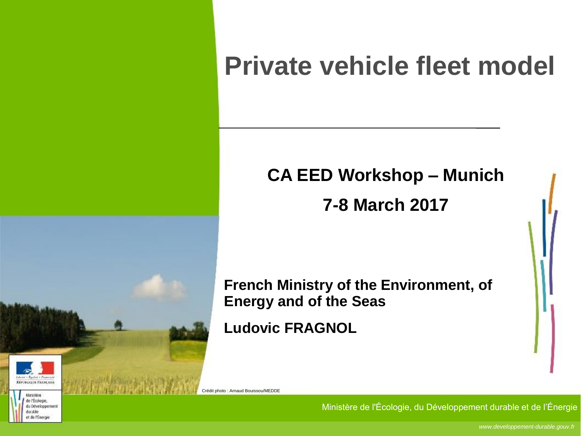#### **Private vehicle fleet model**

#### **CA EED Workshop – Munich**

**7-8 March 2017**

**French Ministry of the Environment, of Energy and of the Seas**

**Ludovic FRAGNOL**



Ministère de l'Écologie. du Développement durable

et de l'Energie

Crédit photo : Arnaud Bouissou/MEDDE

Ministère de l'Écologie, du Développement durable et de l'Énergie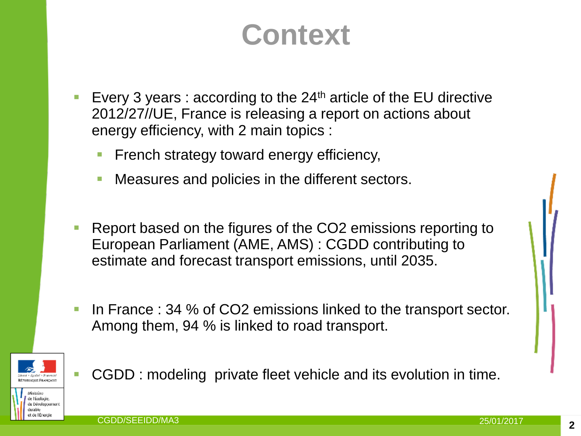### **Context**

- Every 3 years : according to the  $24<sup>th</sup>$  article of the EU directive 2012/27//UE, France is releasing a report on actions about energy efficiency, with 2 main topics :
	- **Figure 1.5 French strategy toward energy efficiency,**
	- **Measures and policies in the different sectors.**
- Report based on the figures of the CO2 emissions reporting to European Parliament (AME, AMS) : CGDD contributing to estimate and forecast transport emissions, until 2035.
- In France : 34 % of CO2 emissions linked to the transport sector. Among them, 94 % is linked to road transport.



du Développement t de l'Énemie

CGDD : modeling private fleet vehicle and its evolution in time.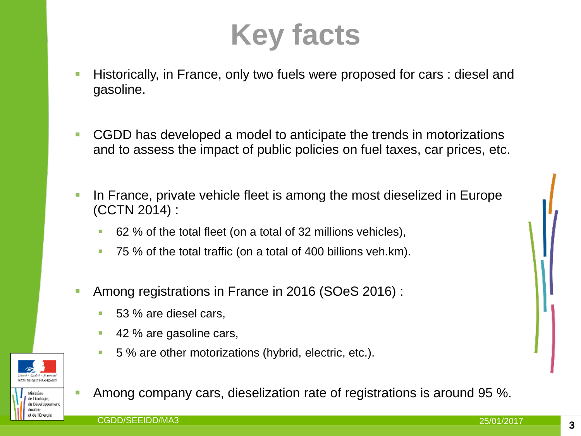**Key facts**

- Historically, in France, only two fuels were proposed for cars : diesel and gasoline.
- **CGDD** has developed a model to anticipate the trends in motorizations and to assess the impact of public policies on fuel taxes, car prices, etc.
- In France, private vehicle fleet is among the most dieselized in Europe (CCTN 2014) :
	- 62 % of the total fleet (on a total of 32 millions vehicles),
	- 75 % of the total traffic (on a total of 400 billions veh.km).
- Among registrations in France in 2016 (SOeS 2016) :
	- 53 % are diesel cars,
	- 42 % are gasoline cars,
	- 5 % are other motorizations (hybrid, electric, etc.).





Among company cars, dieselization rate of registrations is around 95 %.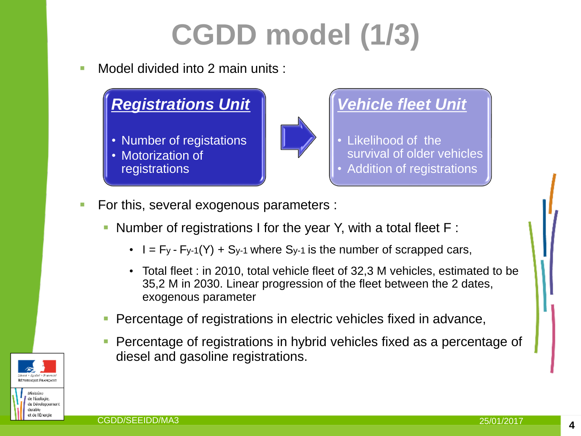# **CGDD model (1/3)**

**Model divided into 2 main units:** 



- Number of registations
- Motorization of registrations



#### *Vehicle fleet Unit*

- Likelihood of the survival of older vehicles • Addition of registrations
- **For this, several exogenous parameters :** 
	- Number of registrations I for the year Y, with a total fleet F :
		- $I = F_y F_{y-1}(Y) + S_{y-1}$  where  $S_{y-1}$  is the number of scrapped cars,
		- Total fleet : in 2010, total vehicle fleet of 32,3 M vehicles, estimated to be 35,2 M in 2030. Linear progression of the fleet between the 2 dates, exogenous parameter
	- **Percentage of registrations in electric vehicles fixed in advance,**
	- **Percentage of registrations in hybrid vehicles fixed as a percentage of** diesel and gasoline registrations.

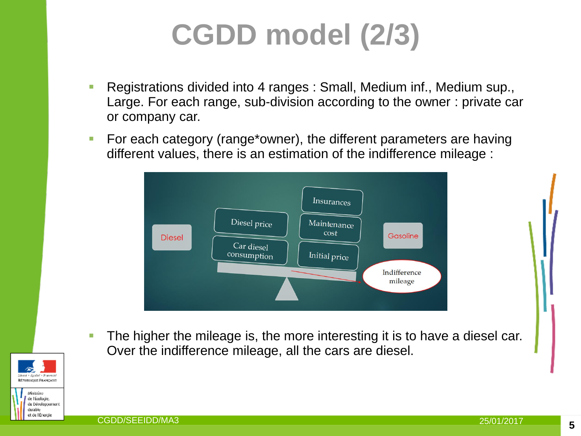## **CGDD model (2/3)**

- Registrations divided into 4 ranges : Small, Medium inf., Medium sup., Large. For each range, sub-division according to the owner : private car or company car.
- **Fig. 5** For each category (range\*owner), the different parameters are having different values, there is an estimation of the indifference mileage :



The higher the mileage is, the more interesting it is to have a diesel car. Over the indifference mileage, all the cars are diesel.



durable et de l'Énergie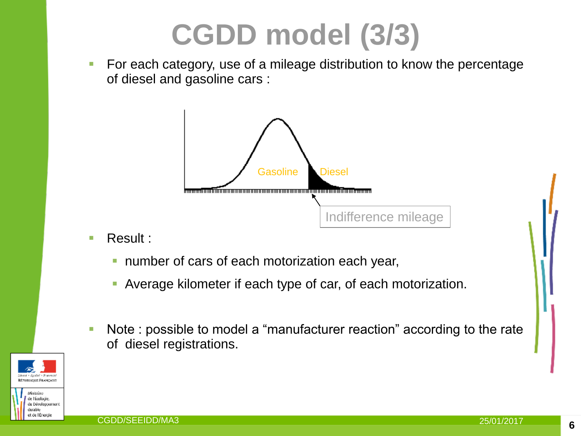## **CGDD model (3/3)**

**For each category, use of a mileage distribution to know the percentage** of diesel and gasoline cars :



- **Result :** 
	- **number of cars of each motorization each year,**
	- Average kilometer if each type of car, of each motorization.
- Note : possible to model a "manufacturer reaction" according to the rate of diesel registrations.

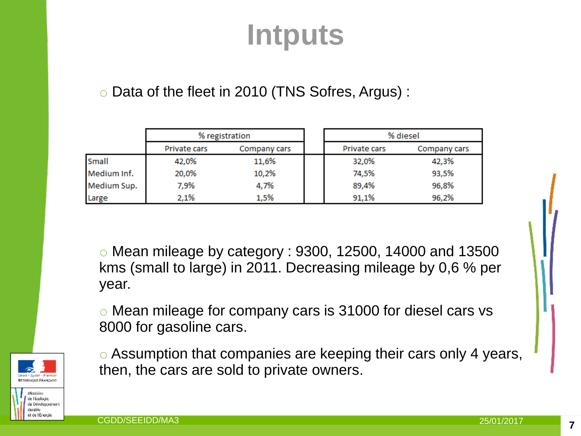### **Intputs**

#### o Data of the fleet in 2010 (TNS Sofres, Argus) :

|             | % registration |              | % diesel     |              |
|-------------|----------------|--------------|--------------|--------------|
|             | Private cars   | Company cars | Private cars | Company cars |
| Small       | 42,0%          | 11,6%        | 32,0%        | 42,3%        |
| Medium Inf. | 20,0%          | 10,2%        | 74,5%        | 93,5%        |
| Medium Sup. | 7,9%           | 4,7%         | 89,4%        | 96,8%        |
| Large       | 2,1%           | 1,5%         | 91,1%        | 96,2%        |

o Mean mileage by category : 9300, 12500, 14000 and 13500 kms (small to large) in 2011. Decreasing mileage by 0,6 % per year.

o Mean mileage for company cars is 31000 for diesel cars vs 8000 for gasoline cars.



Ministère de l'Écologie. du Développement durable et de l'Écemie

o Assumption that companies are keeping their cars only 4 years, then, the cars are sold to private owners.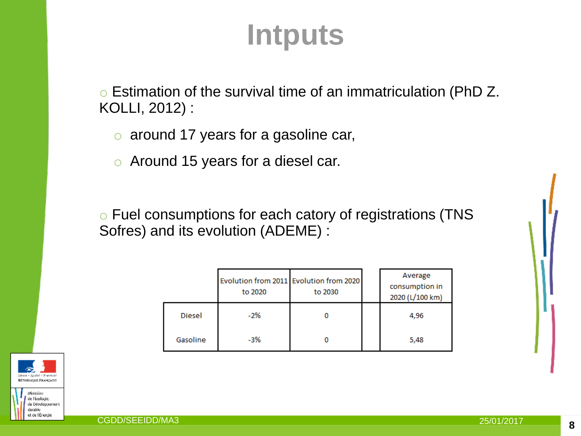#### **Intputs**

o Estimation of the survival time of an immatriculation (PhD Z. KOLLI, 2012) :

- o around 17 years for a gasoline car,
- o Around 15 years for a diesel car.

o Fuel consumptions for each catory of registrations (TNS Sofres) and its evolution (ADEME) :

|               | to 2020 | Evolution from 2011 Evolution from 2020<br>to 2030 | Average<br>consumption in<br>2020 (L/100 km) |
|---------------|---------|----------------------------------------------------|----------------------------------------------|
| <b>Diesel</b> | $-2\%$  |                                                    | 4,96                                         |
| Gasoline      | -3%     |                                                    | 5,48                                         |



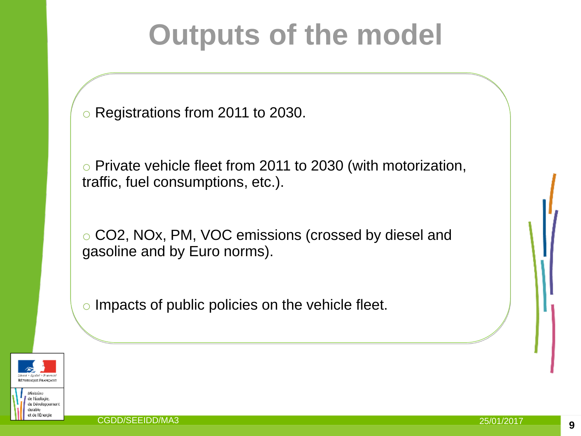## **Outputs of the model**

o Registrations from 2011 to 2030.

o Private vehicle fleet from 2011 to 2030 (with motorization, traffic, fuel consumptions, etc.).

o CO2, NOx, PM, VOC emissions (crossed by diesel and gasoline and by Euro norms).

o Impacts of public policies on the vehicle fleet.



Ministère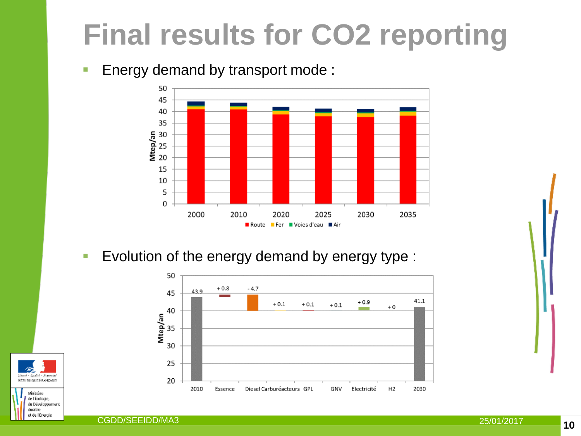## **Final results for CO2 reporting**

**Energy demand by transport mode:** 



**Evolution of the energy demand by energy type:** 



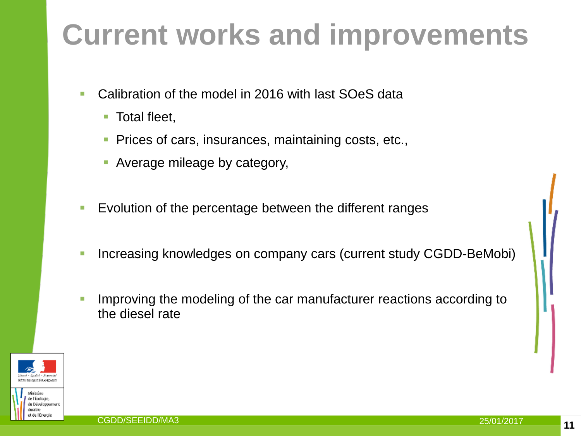## **Current works and improvements**

- **Calibration of the model in 2016 with last SOeS data** 
	- Total fleet.
	- **Prices of cars, insurances, maintaining costs, etc.,**
	- **-** Average mileage by category,
- **Explution of the percentage between the different ranges**
- **Increasing knowledges on company cars (current study CGDD-BeMobi)**
- Improving the modeling of the car manufacturer reactions according to the diesel rate



t de l'Énemie